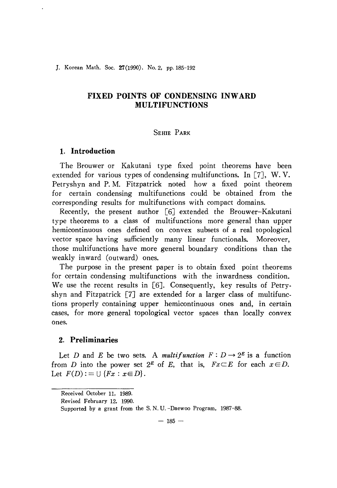]. Korean Math. Soc. 27(1990), No. 2, pp. 185-192

# **FIXED POINTS OF CONDENSING INWARD MULTIFUNCTIONS**

## SEHIE PARK

## 1. **Introduction**

The Brouwer or Kakutani type fixed point theorems have been extended for various types of condensing multifunctions. In [7], W.V. Petryshyn and P. M. Fitzpatrick noted how a fixed point theorem for certain condensing multifunctions could be obtained from the corresponding results for multifunctions with compact domains.

Recently, the present author [6J extended the Brouwer-Kakutani type theorems to a class of multifunctions more general than upper hemicontinuous ones defined on convex subsets of a real topological vector space having sufficiently many linear functionals. Moreover, those multifunctions have more general boundary conditions than the weakly inward (outward) ones.

The purpose in the present paper is to obtain fixed point theorems for certain condensing multifunctions with the inwardness condition. We use the recent results in [6]. Consequently, key results of Petryshyn and Fitzpatrick  $\lceil 7 \rceil$  are extended for a larger class of multifunctions properly containing upper hemicontinuous ones and, in certain cases, for more general topological vector spaces than locally convex ones.

## 2. **Preliminaries**

Let *D* and *E* be two sets. A *multifunction*  $F: D \to 2^E$  is a function from D into the power set  $2^E$  of E, that is,  $Fx\subset E$  for each  $x\in D$ . Let  $F(D) := \bigcup \{Fx : x \in D\}.$ 

Received October 11, 1989.

Revised February 12, 1990.

Supported by a grant from the S. N. U. -Daewoo Program, 1987-88.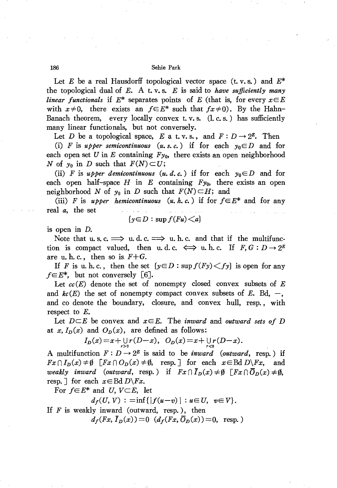Let *E* be a real Hausdorff topological vector space (t. v. s.) and *E\** the topological dual of *E.* A t. v. s. *E* is said to *have sufficiently many linear functionals* if  $E^*$  separates points of *E* (that is, for every  $x \in E$ with  $x\neq0$ , there exists an  $f\in E^*$  such that  $fx\neq0$ . By the Hahn-Banach theorem, every locally convex t. v.s.  $(l, c, s)$  has sufficiently many linear functionals, but not conversely.

Let *D* be a topological space, *E* a t.v.s., and  $F: D \to 2^E$ . Then

(i) *F* is *upper semicontinuous* (*u. s. c.*) if for each  $y_0 \in D$  and for each open set *U* in *E* containing  $F_{y_0}$ , there exists an open neighborhood N of  $y_0$  in D such that  $F(N) \subset U$ ;

(ii) *F* is *upper demicontinuous*  $(u, d, c)$  if for each  $y_0 \in D$  and for each open half-space  $H$  in  $E$  containing  $F_{y_0}$ , there exists an open neighborhood N of  $y_0$  in D such that  $F(N) \subset H$ ; and

(iii) *F* is *upper hemicontinuous*  $(u, h, c)$  if for  $f \in E^*$  and for any real *a,* the. set

$$
\{y\in D:\sup f(Fu)
$$

is open in D.

Note that u. s. c.  $\implies$  u. d. c.  $\implies$  u. h. c. and that if the multifunction is compact valued, then u.d.c.  $\iff$  u.h.c. If  $F, G: D \to 2^E$ are u. h. c., then so is. *F+G.*

If *F* is u. h. c., then the set  $\{y \in D : \sup f(Fy) \leq f(y)\}$  is open for any  $f \in E^*$ , but not conversely [6].

Let *cc(E)* denote the set of nonempty closed convex subsets of *E* and  $kc(E)$  the set of nonempty compact convex subsets of  $E$ . Bd,  $-$ , and co denote the boundary, closure, and convex hull, resp., with respect to  $E$ .

Let  $D \subseteq E$  be convex and  $x \in E$ . The *inward* and *outward* sets of *D* at  $x, I_D(x)$  and  $O_D(x)$ , are defined as follows:

$$
I_D(x) = x + \bigcup_{r>0} r(D-x), \quad O_D(x) = x + \bigcup_{r<0} r(D-x).
$$

A multifunction  $F: D \to 2^E$  is said to be *inward (outward,* resp.) if  $Fx \cap I_D(x) \neq \emptyset$  [ $Fx \cap O_D(x) \neq \emptyset$ , resp.] for each  $x \in \text{Bd } D\backslash Fx$ , and *weakly inward* (*outward*, resp.) if  $Fx \cap \overline{I}_D(x) \neq \emptyset$   $[Fx \cap \overline{O}_D(x) \neq \emptyset$ , resp.  $\exists$  for each  $x \in \text{Bd } D\backslash F_x$ .

For  $f \in E^*$  and *U*,  $V \subset E$ , let

$$
d_f(U, V) := \inf\{|f(u-v)| : u \in U, v \in V\}.
$$

If  $F$  is weakly inward (outward, resp.), then  $d_f(Fx, \bar{I}_D(x)) = 0$   $(d_f(Fx, \bar{O}_D(x)) = 0$ , resp.)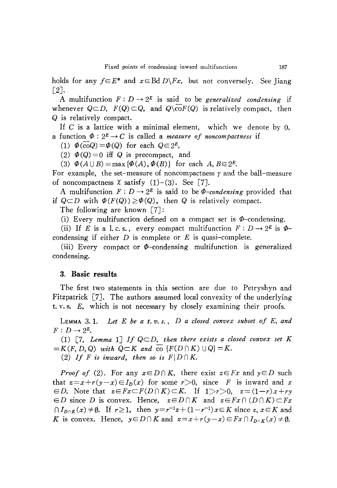holds for any  $f \in E^*$  and  $x \in B \times D \backslash F_x$ , but not conversely. See Jiang [2J.

A multifunction  $F: D \to 2^E$  is said to be *generalized condensing* if whenever  $Q \subseteq D$ ,  $F(Q) \subseteq Q$ , and  $Q \setminus \text{co}(F(Q))$  is relatively compact, then Q is relatively compact.

If C is a lattice with a minimal element, which we denote by  $0$ , a function  $\Phi: 2^E \to C$  is called a *measure* of *noncompactness* if

(1)  $\Phi(\overline{co}Q) = \Phi(Q)$  for each  $Q \in 2^E$ ,

(1)  $\Phi(\text{co}Q) = \Phi(Q)$  for each  $Q \in 2^E$ ,<br>
(2)  $\Phi(Q) = 0$  iff Q is precompact, and

(3)  $\Phi(A \cup B) = \max{\{\Phi(A), \Phi(B)\}}$  for each  $A, B \in 2^E$ .

For example, the set-measure of noncompactness  $\gamma$  and the ball-measure of noncompactness  $\chi$  satisfy  $(1)-(3)$ . See [7].

A multifunction  $F: D \to 2^E$  is said to be  $\Phi$ -condensing provided that if  $Q \subset D$  with  $\Phi(F(Q)) \geq \Phi(Q)$ , then Q is relatively compact.

The following are known [7J:

(i) Every multifunction defined on a compact set is  $\Phi$ -condensing.

(ii) If *E* is a l.c.s., every compact multifunction  $F: D \to 2^E$  is  $\Phi$ condensing if either *D* is complete or *E* is quasi-complete.

(iii) Every compact or  $\Phi$ -condensing multifunction is generalized condensing.

### 3. **Basic results**

The first two statements in this section are due to Petryshyn and Fitzpatrick [7]. The authors assumed local convexity of the underlying t. v. s. E, which is not necessary by closely examining their proofs.

LEMMA 3. 1. *Let E be a t. v. s., D a closed convex subset of E, and*  $F: D \rightarrow 2^E$ .

 $(1)$   $\lceil 7$ , *Lemma*  $1 \rceil$  *If*  $Q \subset D$ , *then there exists a closed convex set K*  $= K(F, D, Q)$  *with*  $Q \subset K$  *and*  $\overline{co}$   $\{F(D \cap K) \cup Q\} = K$ . (2) If *F* is inward, then so is  $F|D \cap K$ .

*Proof* of (2). For any  $x \in D \cap K$ , there exist  $z \in F_x$  and  $y \in D$  such that  $z=x+r(y-x)\in I_D(x)$  for some  $r>0$ , since F is inward and x  $E = D$ . Note that  $z \in Fx \subset F(D \cap K) \subset K$ . If  $1 > r > 0$ ,  $z = (1 - r)x + ry$  $\in D$  since *D* is convex. Hence,  $z \in D \cap K$  and  $z \in F_x \cap (D \cap K) \subset F_x$  $nI_{D\cap K}(x) \neq \emptyset$ . If  $r \geq 1$ , then  $y=r^{-1}z+(1-r^{-1})x \in K$  since  $z, x \in K$  and *K* is convex. Hence,  $y \in D \cap K$  and  $z = x + r(y - x) \in F_x \cap I_{D \cap K}(x) \neq \emptyset$ .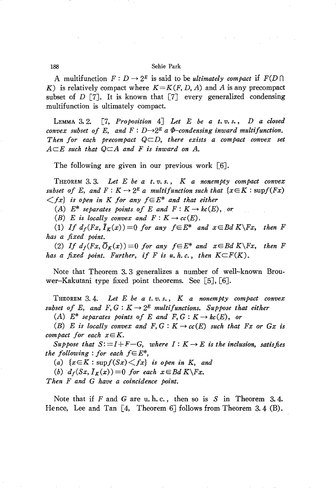A multifunction  $F: D \to 2^E$  is said to be *ultimately compact* if  $F(D \cap$ *K)* is relatively compact where *K=K(F, D, A)* and *A* is any precompact subset of *D* [7]. It is known that  $\begin{bmatrix} 7 \end{bmatrix}$  every generalized condensing multifunction is ultimately compact.

LEMMA 3.2. [7, *Proposition* 4J *Let E be a t. v. s., D a closed convex* subset of E, and  $F: D \rightarrow 2^E$  a  $\Phi$ -condensing inward multifunction. *Then for each precompact*  $QCD$ , *there exists a compact convex set*  $A \subseteq E$  *such that*  $Q \subseteq A$  *and*  $F$  *is inward on*  $A$ .

The following are given in our previous work [6].

THEOREM 3.3. Let E be a t.v.s.,  $K$  a nonempty compact convex *subset* of *E*, and  $F: K \to 2^E$  *a multifunction such that*  $\{x \in K : \text{supf}(Fx)$  $\langle f x \rangle$  *is open in K for any*  $f \in E^*$  *and that either* 

*(A)*  $E^*$  *separates points of*  $E$  *and*  $F: K \to kc(E)$ , *or* 

(B) *E is locally convex and*  $F: K \to cc(E)$ .

(1) If  $d_f(Fx, I_K(x)) = 0$  for any  $f \in E^*$  and  $x \in BdK \backslash Fx$ , then F *has a fixed point.*

(2) If  $d_f(Fx, \overline{O}_K(x)) = 0$  for any  $f \in E^*$  and  $x \in BdK \backslash Fx$ , then F *has a fixed point.* Further, *if*  $F$  *is*  $u$ ,  $h$ ,  $c$ ,  $h$ ,  $h$ en  $K \subset F(K)$ .

Note that Theorem 3. 3 generalizes a number of well-known Brouwer-Kakutani type fixed point theorems. See [5J, [6J.

THEOREM 3.4. *Let E be a t. v. s., K a nonempty compact convex subset* of *E*, and *F*,  $G: K \rightarrow 2^E$  *multifunctions.* Suppose that either

*(A)*  $E^*$  *separates points of*  $E$  *and*  $F, G: K \rightarrow kc(E)$ , *or* 

 $(B)$  *E is locally convex* and  $F, G: K \rightarrow cc(E)$  *such that Fx or Gx is compact for each*  $x \in K$ .

*Suppose that*  $S: = I + F - G$ , *where*  $I: K \rightarrow E$  *is the inclusion, satisfies the following*: *for each*  $f \in E^*$ ,

*(a)*  $\{x \in K : \sup f(Sx) \leq fx\}$  *is open in K, and* 

*(b)*  $d_f(Sx, \overline{I}_K(x)) = 0$  *for each*  $x \in BdK \backslash Fx$ .

*Then F and* G *have a coincidence point.*

Note that if *F* and *G* are u.h.c., then so is *S* in Theorem 3.4. Hence, Lee and Tan [4, Theorem 6] follows from Theorem 3.4 (B).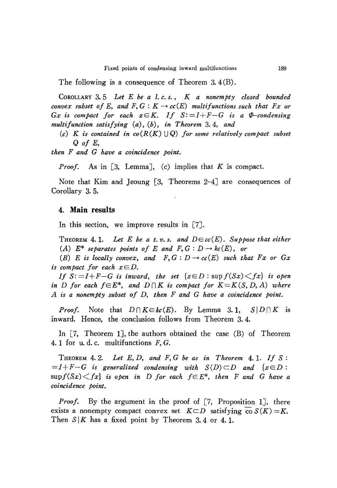The following is a consequence of Theorem 3.4 $(B)$ .

CoROLLARY 3.5 *Let E be a 1. c. s., K a nonempty closed bounded convex subset of* E, and  $F$ ,  $G$  :  $K \rightarrow cc(E)$  *multifunctions such that*  $Fx$  *or Gx is compact for each*  $x \in K$ *. If*  $S := I + F - G$  *is a*  $\Phi$ -condensing *multifunction satisfying (a), (b), in Theorem* 3.4, *and*

 $(c)$  *K is contained in*  $co(R(K) \cup Q)$  *for some relatively compact subset* Q *of E,*

*then F and* G *have a coincidence point.*

*Proof.* As in [3, Lemma], (c) implies that  $K$  is compact.

Note that Kim and Jeoung  $[3,$  Theorems 2-4] are consequences of Corollary 3. 5.

### 4. **Main results**

In this section, we improve results in [7].

THEOREM 4.1. Let E be a t.v.s. and  $D \in cc(E)$ . Suppose that either *(A)*  $E^*$  *separates points of*  $E$  *and*  $F, G : D \rightarrow kc(E)$ , *or* 

*(B) E is locally convex,* and  $F, G: D \rightarrow cc(E)$  *such that Fx or Gx is compact for each*  $x \in D$ .

*If*  $S:=I+F-G$  *is inward, the set*  $\{x \in D : \sup f(Sx) \leq fx\}$  *is open in D for each*  $f \in E^*$ , *and*  $D \cap K$  *is compact for*  $K = K(S, D, A)$  *where A is a nonempty subset of D, then F and* G *have a coincidence point.*

*Proof.* Note that  $D \cap K \in \mathbf{kc}(E)$ . By Lemma 3.1,  $S \mid D \cap K$  is inward. Hence, the conclusion follows from Theorem 3. 4.

In [7, Theorem 1J, the authors obtained the case (B) of Theorem 4. 1 for u. d. c. multifunctions  $F, G$ .

THEOREM 4. 2. *Let E, D, and F,* <sup>G</sup> *be as in Theorem* 4. 1. *If S :*  $=$ *I+F-G is* generalized condensing with  $S(D) \subset D$  and  $\{x \in D:$  $\sup f(Sx) \leq fx$  *is open in D for each*  $f \in E^*$ , *then F and G have a coincidence point.*

*Proof.* By the argument in the proof of [7, Proposition 1], there exists a nonempty compact convex set  $K \subset D$  satisfying  $\overline{co} S(K) = K$ . Then  $S/K$  has a fixed point by Theorem 3.4 or 4.1.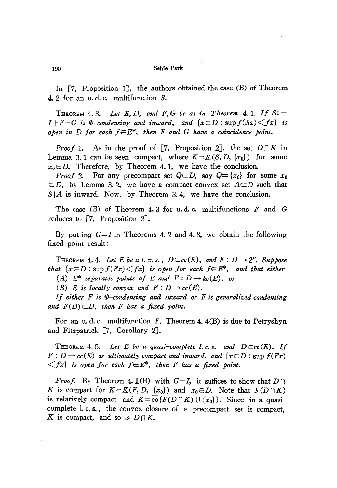In  $[7,$  Proposition 1], the authors obtained the case  $(B)$  of Theorem 4. 2 for an u. d. c. multifunction S.

THEOREM 4.3. Let E, D, and F, G be as in Theorem 4.1. If  $S := I + F - G$  is  $\Phi$ -condensing and inward, and  $\{x \in D : \sup f(Sx) \leq fx\}$  is *open* in D for each  $f \in E^*$ , then *F* and *G* have a coincidence point.

*Proof* 1. As in the proof of [7, Proposition 2], the set  $D \cap K$  in Lemma 3.1 can be seen compact, where  $K = K(S, D, \{x_0\})$  for some  $x_0 \in D$ . Therefore, by Theorem 4.1, we have the conclusion.

*Proof* 2. For any precompact set  $Q \subset D$ , say  $Q = \{x_0\}$  for some  $x_0$  $\in D$ , by Lemma 3.2, we have a compact convex set  $A \subset D$  such that  $S|A$  is inward. Now, by Theorem 3.4, we have the conclusion.

The case (B) of Theorem 4. 3 for u. d. c. multifunctions *F* and G reduces to [7, Proposition 2J.

By putting  $G=I$  in Theorems 4.2 and 4.3, we obtain the following fixed point result:

THEOREM 4.4. Let *E* be a *t.* v. s.,  $D \in cc(E)$ , and  $F : D \rightarrow 2^E$ . Suppose *that*  $\{x \in D : \text{sup } f(Fx) \leq fx\}$  *is open for each*  $f \in E^*$ , *and that either* (A)  $E^*$  *separates points* of *E* and  $F: D \to kc(E)$ , or

(B) *E is locally convex and*  $F: D \to cc(E)$ .

*If either <sup>F</sup> is (f)-condensing and inward or <sup>F</sup> is generalized condensing* and  $F(D) \subset D$ , then *F* has a fixed point.

For an u.d.c. multifunction F, Theorem 4.4(B) is due to Petryshyn and Fitzpatrick [7, Corollary 2J.

THEOREM 4.5. Let E be a quasi-complete l.c.s. and  $D \in cc(E)$ . If  $F: D \to cc(E)$  *is altimately compact and inward, and*  $\{x \in D : \text{sup } f(Fx) \}$  $\langle f(x) \rangle$  *is open for each*  $f \in E^*$ , *then F has a fixed point.* 

*Proof.* By Theorem 4. 1(B) with  $G=I$ , it suffices to show that  $D \cap I$ *K* is compact for  $K=K(F, D, \{x_0\})$  and  $x_0 \in D$ . Note that  $F(D \cap K)$ is relatively compact and  $K = \text{co} \{ F(D \cap K) \cup \{x_0\} \}$ . Since in a quasicomplete 1. c. s., the convex closure of a precompact set is compact, K is compact, and so is  $D \cap K$ .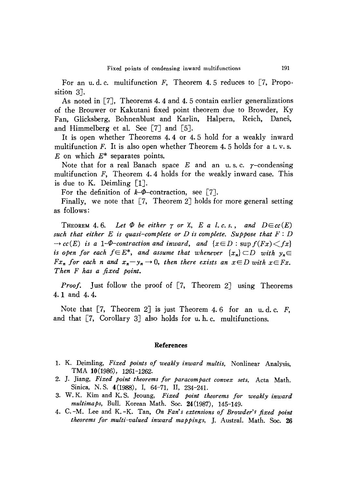For an u.d.c. multifunction  $F$ , Theorem 4.5 reduces to [7, Proposition 3<sup>1</sup>.

As noted in [7J, Theorems 4. 4 and 4. 5 contain earlier generalizations of the Brouwer or Kakutani fixed point theorem due to Browder, Ky Fan, Glicksberg, Bohnenblust and Karlin, Halpern, Reich, Danes, and Himmelberg et al. See  $\lceil 7 \rceil$  and  $\lceil 5 \rceil$ .

It is open whether Theorems 4.4 or 4. 5 hold for a weakly inward multifunction F. It is also open whether Theorem 4.5 holds for a t.v.s. *E* on which *E\** separates points.

Note that for a real Banach space  $E$  and an u.s.c.  $\gamma$ -condensing multifunction  $F$ , Theorem 4.4 holds for the weakly inward case. This is due to K. Deimling [1].

For the definition of  $k-\Phi$ -contraction, see [7].

Finally, we note that  $[7,$  Theorem 2] holds for more general setting as follows:

THEOREM 4.6. Let  $\Phi$  be either  $\gamma$  or  $\chi$ , E a l.c.s., and  $D \in cc(E)$ *such that either*  $E$  *is quasi-complete or*  $D$  *is complete. Suppose that*  $F: D$  $\rightarrow$  *cc*(E) *is a* 1- $\Phi$ -contraction and inward, and { $x \in D$ : sup  $f(Fx) \leq fx$ } *is open for each*  $f \in E^*$ , *and assume that whenever*  $\{x_n\} \subset D$  *with*  $y_n \in E$ *Fx<sub>n</sub> for each n and*  $x_n - y_n \to 0$ , *then there exists an*  $x \in D$  *with*  $x \in Fx$ . *Then F has a fixed point.*

*Proof.* Just follow the proof of [7, Theorem 2] using Theorems 4.1 and 4.4.

Note that  $[7,$  Theorem 2] is just Theorem 4.6 for an u.d.c. F, and that [7, Corollary 3J also holds for u. h. c. multifunctions.

#### **References**

- 1. K. Deimling, *Fixed points of weakly inward multis,* Nonlinear Analysis, TMA 10(1986), 1261-1262.
- 2. ]. ]iang, *Fixed point theorems for paracompact convex sets,* Acta Math. Sinica, N. S. 4(1988), I, 64-71, II, 234-241.
- 3. W. K. Kim and K. S. ]eoung, *Fixed point theorems for weakly inward multimaps,* Bull. Korean Math. Soc. 24(1987), 145-149.
- 4. C. -M. Lee and K. -K. Tan, *On Fan's extensions of Browder's fixed point theorems for multi-valued inward mappings,* ]. Austral. Math. Soc. **26**